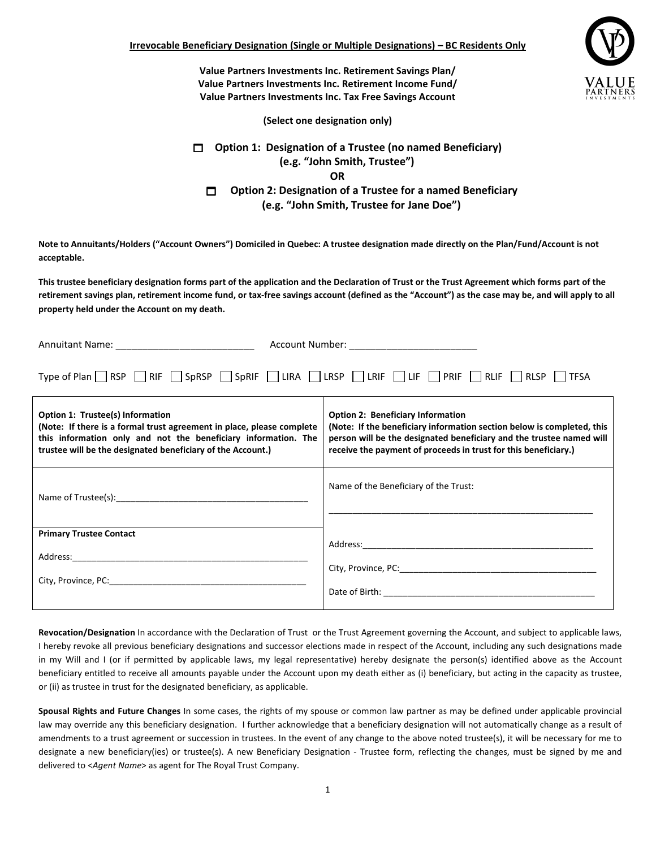Value Partners Investments Inc. Retirement Savings Plan/ Value Partners Investments Inc. Retirement Income Fund/ Value Partners Investments Inc. Tax Free Savings Account



(Select one designation only)

Option 1: Designation of a Trustee (no named Beneficiary) (e.g. "John Smith, Trustee") OR  $\Box$  Option 2: Designation of a Trustee for a named Beneficiary (e.g. "John Smith, Trustee for Jane Doe")

Note to Annuitants/Holders ("Account Owners") Domiciled in Quebec: A trustee designation made directly on the Plan/Fund/Account is not acceptable.

This trustee beneficiary designation forms part of the application and the Declaration of Trust or the Trust Agreement which forms part of the retirement savings plan, retirement income fund, or tax-free savings account (defined as the "Account") as the case may be, and will apply to all property held under the Account on my death.

| Annuitant Name: ____________________________                                                                                                                                                                                                                     | Account Number: ___________________________                                                                                                                                                                                                                   |
|------------------------------------------------------------------------------------------------------------------------------------------------------------------------------------------------------------------------------------------------------------------|---------------------------------------------------------------------------------------------------------------------------------------------------------------------------------------------------------------------------------------------------------------|
| Type of Plan RSP RIF SpRSP SpRIF LIRA LESP LESP LET PRIF RLIF RLSP TFSA                                                                                                                                                                                          |                                                                                                                                                                                                                                                               |
| <b>Option 1: Trustee(s) Information</b><br>(Note: If there is a formal trust agreement in place, please complete<br>this information only and not the beneficiary information. The<br>trustee will be the designated beneficiary of the Account.)                | <b>Option 2: Beneficiary Information</b><br>(Note: If the beneficiary information section below is completed, this<br>person will be the designated beneficiary and the trustee named will<br>receive the payment of proceeds in trust for this beneficiary.) |
|                                                                                                                                                                                                                                                                  | Name of the Beneficiary of the Trust:                                                                                                                                                                                                                         |
| <b>Primary Trustee Contact</b><br>Address: the contract of the contract of the contract of the contract of the contract of the contract of the contract of the contract of the contract of the contract of the contract of the contract of the contract of the c |                                                                                                                                                                                                                                                               |

Revocation/Designation In accordance with the Declaration of Trust or the Trust Agreement governing the Account, and subject to applicable laws, I hereby revoke all previous beneficiary designations and successor elections made in respect of the Account, including any such designations made in my Will and I (or if permitted by applicable laws, my legal representative) hereby designate the person(s) identified above as the Account beneficiary entitled to receive all amounts payable under the Account upon my death either as (i) beneficiary, but acting in the capacity as trustee, or (ii) as trustee in trust for the designated beneficiary, as applicable.

Spousal Rights and Future Changes In some cases, the rights of my spouse or common law partner as may be defined under applicable provincial law may override any this beneficiary designation. I further acknowledge that a beneficiary designation will not automatically change as a result of amendments to a trust agreement or succession in trustees. In the event of any change to the above noted trustee(s), it will be necessary for me to designate a new beneficiary(ies) or trustee(s). A new Beneficiary Designation - Trustee form, reflecting the changes, must be signed by me and delivered to <Agent Name> as agent for The Royal Trust Company.